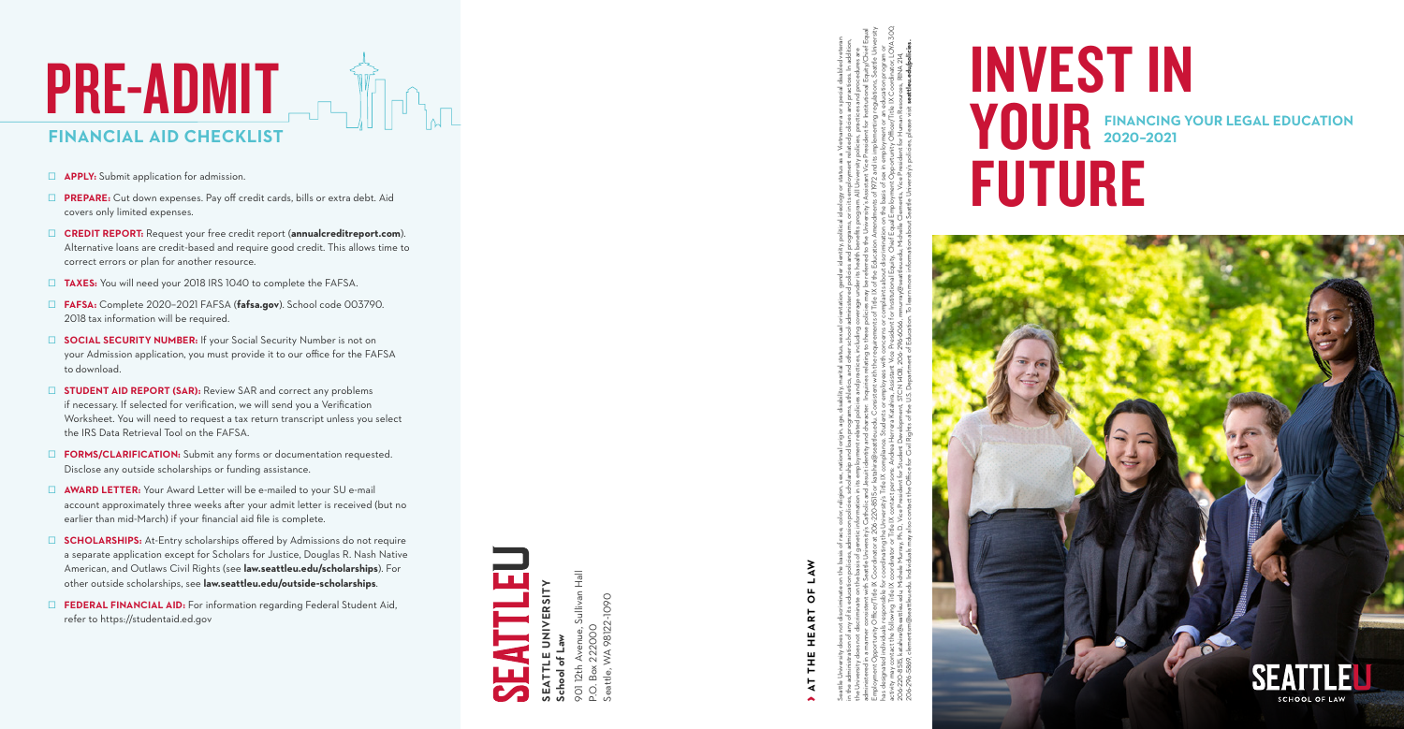

# INVEST IN **FINANCING YOUR LEGAL EDUCATION 2020–2021**





**School of Law**

901 12th Avenue, Sullivan Hall P.O. Box 222000 Seattle, WA 98122-1090

- **APPLY:** Submit application for admission.
- **D** PREPARE: Cut down expenses. Pay off credit cards, bills or extra debt. Aid covers only limited expenses.
- □ **CREDIT REPORT:** Request your free credit report (**annualcreditreport.com**). Alternative loans are credit-based and require good credit. This allows time to correct errors or plan for another resource.
- □ TAXES: You will need your 2018 IRS 1040 to complete the FAFSA.
- Ş **FAFSA:** Complete 2020–2021 FAFSA (**fafsa.gov**). School code 003790. 2018 tax information will be required.
- **SOCIAL SECURITY NUMBER:** If your Social Security Number is not on your Admission application, you must provide it to our office for the FAFSA to download.
- **E** STUDENT AID REPORT (SAR): Review SAR and correct any problems if necessary. If selected for verification, we will send you a Verification Worksheet. You will need to request a tax return transcript unless you select the IRS Data Retrieval Tool on the FAFSA.
- **EXECUTE:** FORMS/CLARIFICATION: Submit any forms or documentation requested. Disclose any outside scholarships or funding assistance.
- □ **AWARD LETTER:** Your Award Letter will be e-mailed to your SU e-mail account approximately three weeks after your admit letter is received (but no earlier than mid-March) if your financial aid file is complete.
- □ **SCHOLARSHIPS:** At-Entry scholarships offered by Admissions do not require a separate application except for Scholars for Justice, Douglas R. Nash Native American, and Outlaws Civil Rights (see **law.seattleu.edu/scholarships**). For other outside scholarships, see **law.seattleu.edu/outside-scholarships**.
- **EDERAL FINANCIAL AID:** For information regarding Federal Student Aid, refer to https://studentaid.ed.gov

# ›**AT THE HEART OF LAW**

Seattle University does not discriminate on the basis of race, color, religion, sex, nation, arianglerigion, arian status, sexual orientation, gender identity, political ideology or status as a Vietnam-era or special disab in the administration of any of its education policies, admission policies, scholarship and loan programs, atheletics, and other school-administered policies and programs, or in its employment related policies and practice the University does not discriminate on the basis of genetic information in its employment related policies and practices, including coverage under its health benefits program. All University policies, practices and proced administered in a manner consistent with Seattle University's Catholic and Jesuit identity and Jeharcter. Inquiries relating to the se policies may be referred to the University's Assistant Vice President for Institutional Employment Opportunity Officer/Title IX Coordinator at 206-220-8515 or katahira@seattleu.edu. Consistent with the requirements of Title IX of the Education Amendments of 1972 and its implementing regulations, Seattle Unive has designated individuals responsible for coordinating the University's Title IX complance. Students or employees with concerns or complants about discrimination on the basis of sex in employment or an education program o activity may contact the following Title IX coordinator or Title IX contact persons: Andrea Herrera Katahira, Assistant Vice President for Institutional Equity, Chief Equal Employment Opportunity Officer/Title IX Coordinat 206-220-8515, katahira@seattleu.edu; Michele Murray, Ph.D., Vice President for Student Development, STCN 140B, 206-296-6066, mmurray@seattleu.edu; Michelle Clements, Vice President for Human Resources, RINA 214, 206-2869; clementsm@seattleu.edu. Individuals may also contact the Office for Civil Rights of the U.S. Department of Education. To learn more information about Seattle University's policies, please visit **seattleu.edu/poli**